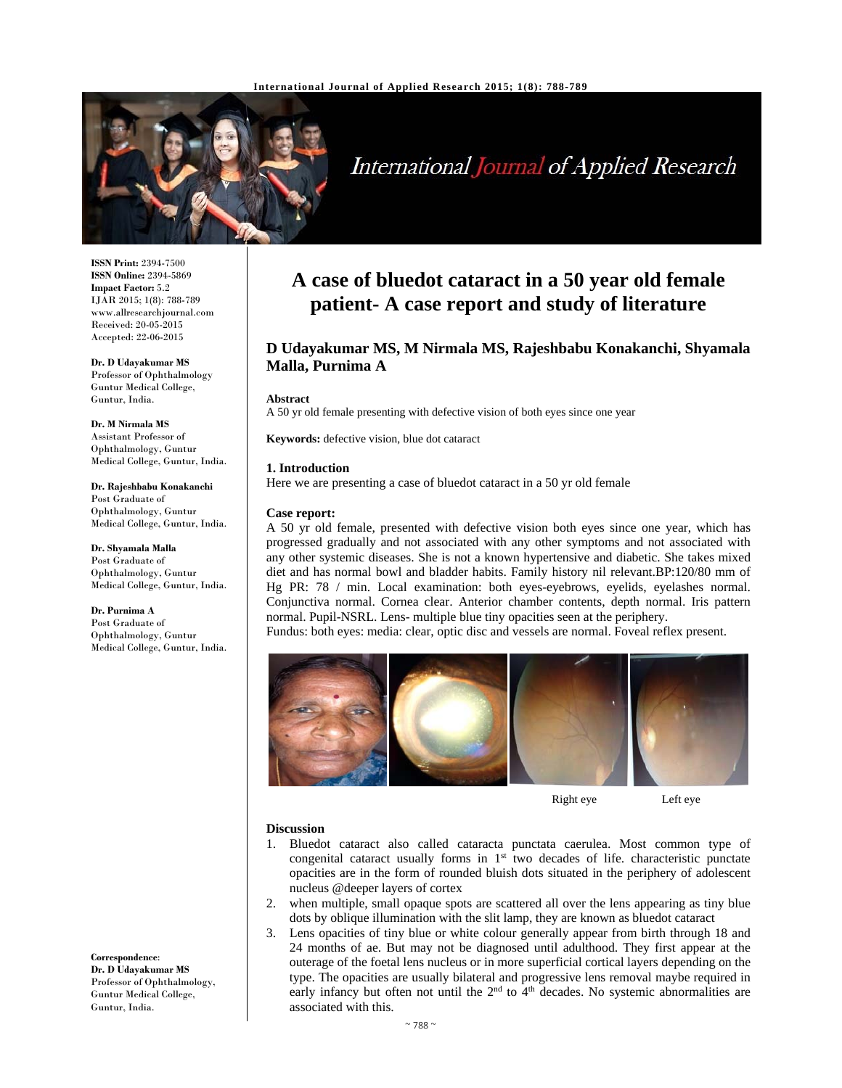

# **International Journal of Applied Research**

**ISSN Print:** 2394-7500 **ISSN Online:** 2394-5869 **Impact Factor:** 5.2 IJAR 2015; 1(8): 788-789 www.allresearchjournal.com Received: 20-05-2015 Accepted: 22-06-2015

**Dr. D Udayakumar MS**  Professor of Ophthalmology Guntur Medical College, Guntur, India.

**Dr. M Nirmala MS**  Assistant Professor of Ophthalmology, Guntur Medical College, Guntur, India.

**Dr. Rajeshbabu Konakanchi**  Post Graduate of Ophthalmology, Guntur Medical College, Guntur, India.

**Dr. Shyamala Malla**  Post Graduate of Ophthalmology, Guntur Medical College, Guntur, India.

**Dr. Purnima A**  Post Graduate of Ophthalmology, Guntur Medical College, Guntur, India.

**Correspondence**: **Dr. D Udayakumar MS**  Professor of Ophthalmology, Guntur Medical College, Guntur, India.

# **A case of bluedot cataract in a 50 year old female patient- A case report and study of literature**

## **D Udayakumar MS, M Nirmala MS, Rajeshbabu Konakanchi, Shyamala Malla, Purnima A**

#### **Abstract**

A 50 yr old female presenting with defective vision of both eyes since one year

**Keywords:** defective vision, blue dot cataract

#### **1. Introduction**

Here we are presenting a case of bluedot cataract in a 50 yr old female

#### **Case report:**

A 50 yr old female, presented with defective vision both eyes since one year, which has progressed gradually and not associated with any other symptoms and not associated with any other systemic diseases. She is not a known hypertensive and diabetic. She takes mixed diet and has normal bowl and bladder habits. Family history nil relevant.BP:120/80 mm of Hg PR: 78 / min. Local examination: both eyes-eyebrows, eyelids, eyelashes normal. Conjunctiva normal. Cornea clear. Anterior chamber contents, depth normal. Iris pattern normal. Pupil-NSRL. Lens- multiple blue tiny opacities seen at the periphery.

Fundus: both eyes: media: clear, optic disc and vessels are normal. Foveal reflex present.



Right eye Left eye

#### **Discussion**

- 1. Bluedot cataract also called cataracta punctata caerulea. Most common type of congenital cataract usually forms in  $1<sup>st</sup>$  two decades of life. characteristic punctate opacities are in the form of rounded bluish dots situated in the periphery of adolescent nucleus @deeper layers of cortex
- 2. when multiple, small opaque spots are scattered all over the lens appearing as tiny blue dots by oblique illumination with the slit lamp, they are known as bluedot cataract
- 3. Lens opacities of tiny blue or white colour generally appear from birth through 18 and 24 months of ae. But may not be diagnosed until adulthood. They first appear at the outerage of the foetal lens nucleus or in more superficial cortical layers depending on the type. The opacities are usually bilateral and progressive lens removal maybe required in early infancy but often not until the  $2<sup>nd</sup>$  to  $4<sup>th</sup>$  decades. No systemic abnormalities are associated with this.